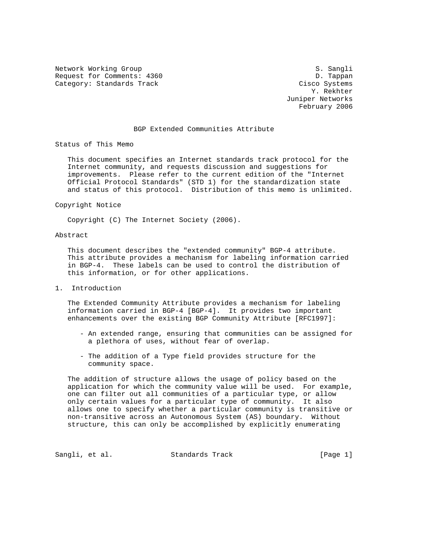Network Working Group S. Sangli Request for Comments: 4360 D. Tappan Category: Standards Track Cisco Systems

 Y. Rekhter Juniper Networks February 2006

# BGP Extended Communities Attribute

Status of This Memo

 This document specifies an Internet standards track protocol for the Internet community, and requests discussion and suggestions for improvements. Please refer to the current edition of the "Internet Official Protocol Standards" (STD 1) for the standardization state and status of this protocol. Distribution of this memo is unlimited.

Copyright Notice

Copyright (C) The Internet Society (2006).

# Abstract

 This document describes the "extended community" BGP-4 attribute. This attribute provides a mechanism for labeling information carried in BGP-4. These labels can be used to control the distribution of this information, or for other applications.

1. Introduction

 The Extended Community Attribute provides a mechanism for labeling information carried in BGP-4 [BGP-4]. It provides two important enhancements over the existing BGP Community Attribute [RFC1997]:

- An extended range, ensuring that communities can be assigned for a plethora of uses, without fear of overlap.
- The addition of a Type field provides structure for the community space.

 The addition of structure allows the usage of policy based on the application for which the community value will be used. For example, one can filter out all communities of a particular type, or allow only certain values for a particular type of community. It also allows one to specify whether a particular community is transitive or non-transitive across an Autonomous System (AS) boundary. Without structure, this can only be accomplished by explicitly enumerating

Sangli, et al. Standards Track [Page 1]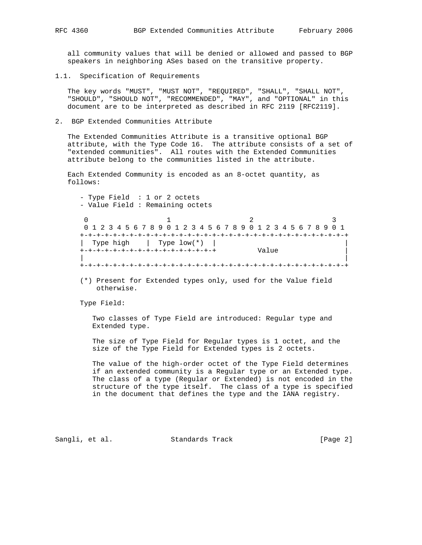all community values that will be denied or allowed and passed to BGP speakers in neighboring ASes based on the transitive property.

1.1. Specification of Requirements

 The key words "MUST", "MUST NOT", "REQUIRED", "SHALL", "SHALL NOT", "SHOULD", "SHOULD NOT", "RECOMMENDED", "MAY", and "OPTIONAL" in this document are to be interpreted as described in RFC 2119 [RFC2119].

2. BGP Extended Communities Attribute

 The Extended Communities Attribute is a transitive optional BGP attribute, with the Type Code 16. The attribute consists of a set of "extended communities". All routes with the Extended Communities attribute belong to the communities listed in the attribute.

 Each Extended Community is encoded as an 8-octet quantity, as follows:

 - Type Field : 1 or 2 octets - Value Field : Remaining octets

 $0$  1 2 3 0 1 2 3 4 5 6 7 8 9 0 1 2 3 4 5 6 7 8 9 0 1 2 3 4 5 6 7 8 9 0 1 +-+-+-+-+-+-+-+-+-+-+-+-+-+-+-+-+-+-+-+-+-+-+-+-+-+-+-+-+-+-+-+-+ Type high  $|$  Type low(\*)  $|$ <br>-+-+-+-+-+-+-+-+-+-+-+-+-+-+-+-+-+ +-+-+-+-+-+-+-+-+-+-+-+-+-+-+-+-+ Value | | | +-+-+-+-+-+-+-+-+-+-+-+-+-+-+-+-+-+-+-+-+-+-+-+-+-+-+-+-+-+-+-+-+

 (\*) Present for Extended types only, used for the Value field otherwise.

Type Field:

 Two classes of Type Field are introduced: Regular type and Extended type.

 The size of Type Field for Regular types is 1 octet, and the size of the Type Field for Extended types is 2 octets.

 The value of the high-order octet of the Type Field determines if an extended community is a Regular type or an Extended type. The class of a type (Regular or Extended) is not encoded in the structure of the type itself. The class of a type is specified in the document that defines the type and the IANA registry.

Sangli, et al. Standards Track [Page 2]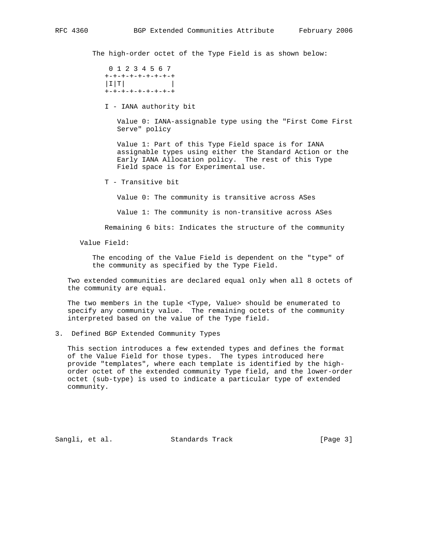The high-order octet of the Type Field is as shown below:

 0 1 2 3 4 5 6 7 +-+-+-+-+-+-+-+-+  $|I|$   $T$   $|T|$ +-+-+-+-+-+-+-+-+

I - IANA authority bit

 Value 0: IANA-assignable type using the "First Come First Serve" policy

 Value 1: Part of this Type Field space is for IANA assignable types using either the Standard Action or the Early IANA Allocation policy. The rest of this Type Field space is for Experimental use.

T - Transitive bit

Value 0: The community is transitive across ASes

Value 1: The community is non-transitive across ASes

Remaining 6 bits: Indicates the structure of the community

Value Field:

 The encoding of the Value Field is dependent on the "type" of the community as specified by the Type Field.

 Two extended communities are declared equal only when all 8 octets of the community are equal.

 The two members in the tuple <Type, Value> should be enumerated to specify any community value. The remaining octets of the community interpreted based on the value of the Type field.

3. Defined BGP Extended Community Types

 This section introduces a few extended types and defines the format of the Value Field for those types. The types introduced here provide "templates", where each template is identified by the high order octet of the extended community Type field, and the lower-order octet (sub-type) is used to indicate a particular type of extended community.

Sangli, et al. Standards Track [Page 3]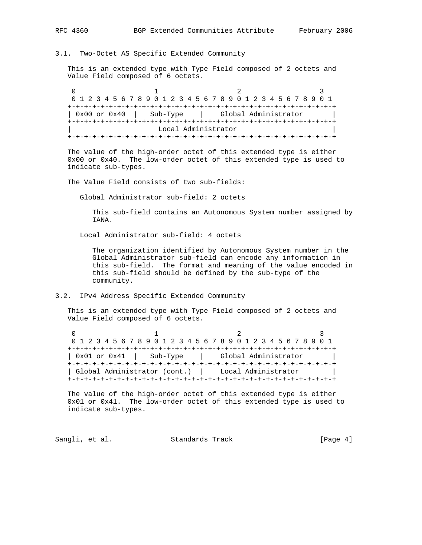# 3.1. Two-Octet AS Specific Extended Community

 This is an extended type with Type Field composed of 2 octets and Value Field composed of 6 octets.

0  $1$  2 3 0 1 2 3 4 5 6 7 8 9 0 1 2 3 4 5 6 7 8 9 0 1 2 3 4 5 6 7 8 9 0 1 +-+-+-+-+-+-+-+-+-+-+-+-+-+-+-+-+-+-+-+-+-+-+-+-+-+-+-+-+-+-+-+-+ | 0x00 or 0x40 | Sub-Type | Global Administrator | +-+-+-+-+-+-+-+-+-+-+-+-+-+-+-+-+-+-+-+-+-+-+-+-+-+-+-+-+-+-+-+-+ Local Administrator +-+-+-+-+-+-+-+-+-+-+-+-+-+-+-+-+-+-+-+-+-+-+-+-+-+-+-+-+-+-+-+-+

 The value of the high-order octet of this extended type is either 0x00 or 0x40. The low-order octet of this extended type is used to indicate sub-types.

The Value Field consists of two sub-fields:

Global Administrator sub-field: 2 octets

 This sub-field contains an Autonomous System number assigned by IANA.

Local Administrator sub-field: 4 octets

 The organization identified by Autonomous System number in the Global Administrator sub-field can encode any information in this sub-field. The format and meaning of the value encoded in this sub-field should be defined by the sub-type of the community.

### 3.2. IPv4 Address Specific Extended Community

 This is an extended type with Type Field composed of 2 octets and Value Field composed of 6 octets.

0  $1$  2 3 0 1 2 3 4 5 6 7 8 9 0 1 2 3 4 5 6 7 8 9 0 1 2 3 4 5 6 7 8 9 0 1 +-+-+-+-+-+-+-+-+-+-+-+-+-+-+-+-+-+-+-+-+-+-+-+-+-+-+-+-+-+-+-+-+ | 0x01 or 0x41 | Sub-Type | Global Administrator | +-+-+-+-+-+-+-+-+-+-+-+-+-+-+-+-+-+-+-+-+-+-+-+-+-+-+-+-+-+-+-+-+ | Global Administrator (cont.) | Local Administrator | +-+-+-+-+-+-+-+-+-+-+-+-+-+-+-+-+-+-+-+-+-+-+-+-+-+-+-+-+-+-+-+-+

 The value of the high-order octet of this extended type is either 0x01 or 0x41. The low-order octet of this extended type is used to indicate sub-types.

Sangli, et al. Standards Track [Page 4]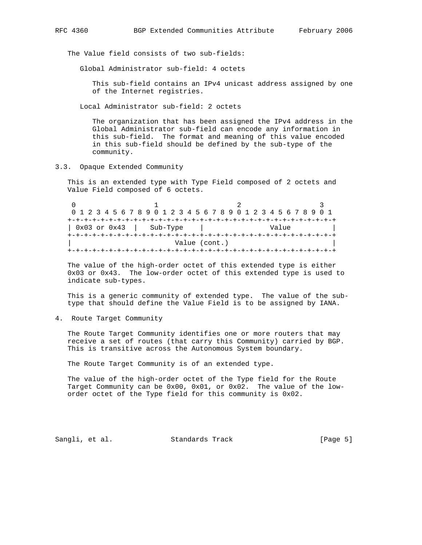The Value field consists of two sub-fields:

Global Administrator sub-field: 4 octets

 This sub-field contains an IPv4 unicast address assigned by one of the Internet registries.

Local Administrator sub-field: 2 octets

 The organization that has been assigned the IPv4 address in the Global Administrator sub-field can encode any information in this sub-field. The format and meaning of this value encoded in this sub-field should be defined by the sub-type of the community.

3.3. Opaque Extended Community

 This is an extended type with Type Field composed of 2 octets and Value Field composed of 6 octets.

|                              |                             | 0 1 2 3 4 5 6 7 8 9 0 1 2 3 4 5 6 7 8 9 0 1 2 3 4 5 6 7 8 9 0 1 |  |  |  |  |
|------------------------------|-----------------------------|-----------------------------------------------------------------|--|--|--|--|
|                              |                             |                                                                 |  |  |  |  |
|                              | $0x03$ or $0x43$   Sub-Type | Value                                                           |  |  |  |  |
| +-+-+-+-+-+-+-+-+-+-+-+-+-+- |                             |                                                                 |  |  |  |  |
|                              |                             | Value (cont.)                                                   |  |  |  |  |
|                              |                             |                                                                 |  |  |  |  |

 The value of the high-order octet of this extended type is either 0x03 or 0x43. The low-order octet of this extended type is used to indicate sub-types.

 This is a generic community of extended type. The value of the sub type that should define the Value Field is to be assigned by IANA.

4. Route Target Community

 The Route Target Community identifies one or more routers that may receive a set of routes (that carry this Community) carried by BGP. This is transitive across the Autonomous System boundary.

The Route Target Community is of an extended type.

 The value of the high-order octet of the Type field for the Route Target Community can be 0x00, 0x01, or 0x02. The value of the low order octet of the Type field for this community is 0x02.

Sangli, et al. Standards Track [Page 5]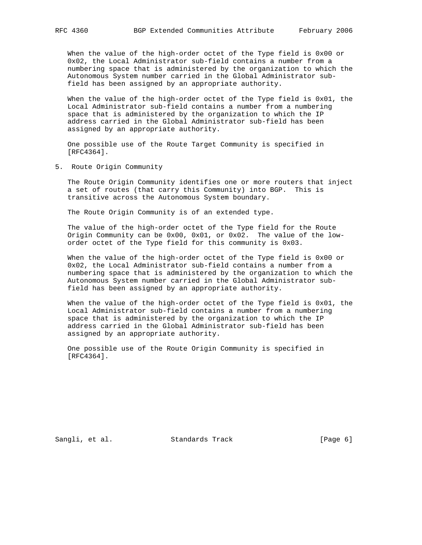When the value of the high-order octet of the Type field is 0x00 or 0x02, the Local Administrator sub-field contains a number from a numbering space that is administered by the organization to which the Autonomous System number carried in the Global Administrator sub field has been assigned by an appropriate authority.

 When the value of the high-order octet of the Type field is 0x01, the Local Administrator sub-field contains a number from a numbering space that is administered by the organization to which the IP address carried in the Global Administrator sub-field has been assigned by an appropriate authority.

 One possible use of the Route Target Community is specified in [RFC4364].

5. Route Origin Community

 The Route Origin Community identifies one or more routers that inject a set of routes (that carry this Community) into BGP. This is transitive across the Autonomous System boundary.

The Route Origin Community is of an extended type.

 The value of the high-order octet of the Type field for the Route Origin Community can be 0x00, 0x01, or 0x02. The value of the low order octet of the Type field for this community is 0x03.

 When the value of the high-order octet of the Type field is 0x00 or 0x02, the Local Administrator sub-field contains a number from a numbering space that is administered by the organization to which the Autonomous System number carried in the Global Administrator sub field has been assigned by an appropriate authority.

 When the value of the high-order octet of the Type field is 0x01, the Local Administrator sub-field contains a number from a numbering space that is administered by the organization to which the IP address carried in the Global Administrator sub-field has been assigned by an appropriate authority.

 One possible use of the Route Origin Community is specified in [RFC4364].

Sangli, et al. Standards Track [Page 6]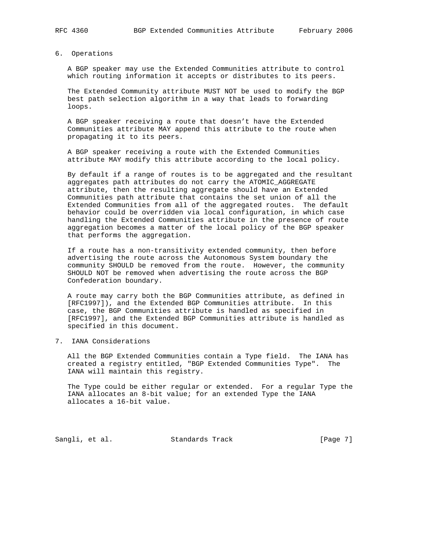# 6. Operations

 A BGP speaker may use the Extended Communities attribute to control which routing information it accepts or distributes to its peers.

 The Extended Community attribute MUST NOT be used to modify the BGP best path selection algorithm in a way that leads to forwarding loops.

 A BGP speaker receiving a route that doesn't have the Extended Communities attribute MAY append this attribute to the route when propagating it to its peers.

 A BGP speaker receiving a route with the Extended Communities attribute MAY modify this attribute according to the local policy.

 By default if a range of routes is to be aggregated and the resultant aggregates path attributes do not carry the ATOMIC\_AGGREGATE attribute, then the resulting aggregate should have an Extended Communities path attribute that contains the set union of all the Extended Communities from all of the aggregated routes. The default behavior could be overridden via local configuration, in which case handling the Extended Communities attribute in the presence of route aggregation becomes a matter of the local policy of the BGP speaker that performs the aggregation.

 If a route has a non-transitivity extended community, then before advertising the route across the Autonomous System boundary the community SHOULD be removed from the route. However, the community SHOULD NOT be removed when advertising the route across the BGP Confederation boundary.

 A route may carry both the BGP Communities attribute, as defined in [RFC1997]), and the Extended BGP Communities attribute. In this case, the BGP Communities attribute is handled as specified in [RFC1997], and the Extended BGP Communities attribute is handled as specified in this document.

# 7. IANA Considerations

 All the BGP Extended Communities contain a Type field. The IANA has created a registry entitled, "BGP Extended Communities Type". The IANA will maintain this registry.

 The Type could be either regular or extended. For a regular Type the IANA allocates an 8-bit value; for an extended Type the IANA allocates a 16-bit value.

Sangli, et al. Standards Track [Page 7]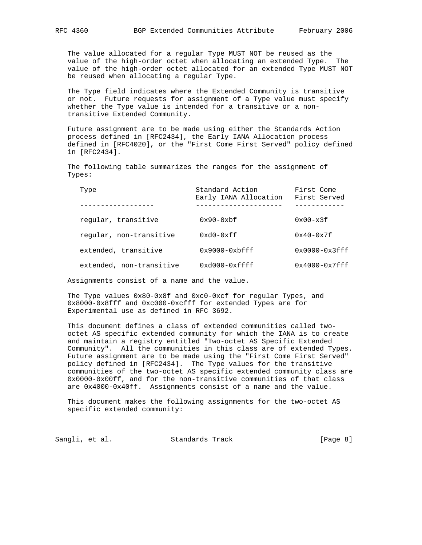The value allocated for a regular Type MUST NOT be reused as the value of the high-order octet when allocating an extended Type. The value of the high-order octet allocated for an extended Type MUST NOT be reused when allocating a regular Type.

 The Type field indicates where the Extended Community is transitive or not. Future requests for assignment of a Type value must specify whether the Type value is intended for a transitive or a non transitive Extended Community.

 Future assignment are to be made using either the Standards Action process defined in [RFC2434], the Early IANA Allocation process defined in [RFC4020], or the "First Come First Served" policy defined in [RFC2434].

 The following table summarizes the ranges for the assignment of Types:

| Type                     | Standard Action<br>Early IANA Allocation | First Come<br>First Served |
|--------------------------|------------------------------------------|----------------------------|
| regular, transitive      | $0x90 - 0xbf$                            | $0x00-x3f$                 |
| reqular, non-transitive  | $0xd0-0xff$                              | $0x40-0x7f$                |
| extended, transitive     | $0x9000 - 0x$ bfff                       | $0x0000-0x3fft$            |
| extended, non-transitive | $0xd000-0xfft$                           | $0x4000 - 0x7fff$          |

Assignments consist of a name and the value.

 The Type values 0x80-0x8f and 0xc0-0xcf for regular Types, and 0x8000-0x8fff and 0xc000-0xcfff for extended Types are for Experimental use as defined in RFC 3692.

 This document defines a class of extended communities called two octet AS specific extended community for which the IANA is to create and maintain a registry entitled "Two-octet AS Specific Extended Community". All the communities in this class are of extended Types. Future assignment are to be made using the "First Come First Served" policy defined in [RFC2434]. The Type values for the transitive communities of the two-octet AS specific extended community class are 0x0000-0x00ff, and for the non-transitive communities of that class are 0x4000-0x40ff. Assignments consist of a name and the value.

 This document makes the following assignments for the two-octet AS specific extended community:

Sangli, et al. Standards Track [Page 8]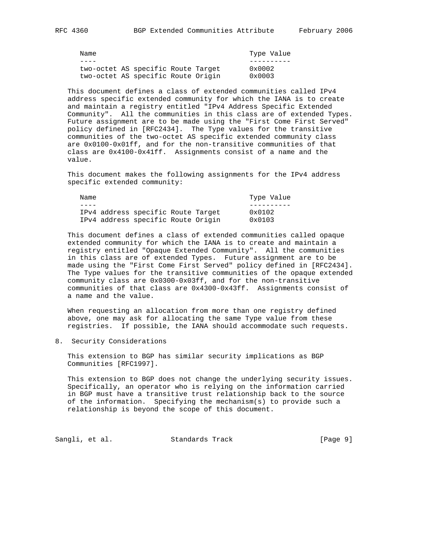| Name                               |  |  |                 | Type Value |
|------------------------------------|--|--|-----------------|------------|
|                                    |  |  |                 |            |
| two-octet AS specific Route Target |  |  | $0 \times 0002$ |            |
| two-octet AS specific Route Origin |  |  | $0 \times 0003$ |            |

 This document defines a class of extended communities called IPv4 address specific extended community for which the IANA is to create and maintain a registry entitled "IPv4 Address Specific Extended Community". All the communities in this class are of extended Types. Future assignment are to be made using the "First Come First Served" policy defined in [RFC2434]. The Type values for the transitive communities of the two-octet AS specific extended community class are 0x0100-0x01ff, and for the non-transitive communities of that class are 0x4100-0x41ff. Assignments consist of a name and the value.

 This document makes the following assignments for the IPv4 address specific extended community:

| Name |                                    |  |                 | Type Value |
|------|------------------------------------|--|-----------------|------------|
|      |                                    |  |                 |            |
|      | IPv4 address specific Route Target |  | $0 \times 0102$ |            |
|      | IPv4 address specific Route Origin |  | $0 \times 0103$ |            |

 This document defines a class of extended communities called opaque extended community for which the IANA is to create and maintain a registry entitled "Opaque Extended Community". All the communities in this class are of extended Types. Future assignment are to be made using the "First Come First Served" policy defined in [RFC2434]. The Type values for the transitive communities of the opaque extended community class are 0x0300-0x03ff, and for the non-transitive communities of that class are 0x4300-0x43ff. Assignments consist of a name and the value.

 When requesting an allocation from more than one registry defined above, one may ask for allocating the same Type value from these registries. If possible, the IANA should accommodate such requests.

8. Security Considerations

 This extension to BGP has similar security implications as BGP Communities [RFC1997].

 This extension to BGP does not change the underlying security issues. Specifically, an operator who is relying on the information carried in BGP must have a transitive trust relationship back to the source of the information. Specifying the mechanism(s) to provide such a relationship is beyond the scope of this document.

Sangli, et al. Standards Track [Page 9]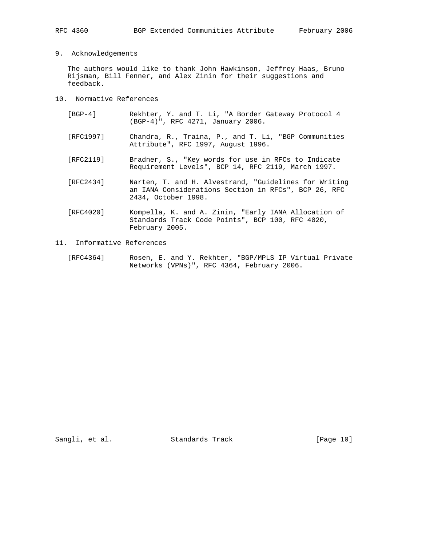# 9. Acknowledgements

 The authors would like to thank John Hawkinson, Jeffrey Haas, Bruno Rijsman, Bill Fenner, and Alex Zinin for their suggestions and feedback.

- 10. Normative References
	- [BGP-4] Rekhter, Y. and T. Li, "A Border Gateway Protocol 4 (BGP-4)", RFC 4271, January 2006.
	- [RFC1997] Chandra, R., Traina, P., and T. Li, "BGP Communities Attribute", RFC 1997, August 1996.
	- [RFC2119] Bradner, S., "Key words for use in RFCs to Indicate Requirement Levels", BCP 14, RFC 2119, March 1997.
	- [RFC2434] Narten, T. and H. Alvestrand, "Guidelines for Writing an IANA Considerations Section in RFCs", BCP 26, RFC 2434, October 1998.
	- [RFC4020] Kompella, K. and A. Zinin, "Early IANA Allocation of Standards Track Code Points", BCP 100, RFC 4020, February 2005.
- 11. Informative References
	- [RFC4364] Rosen, E. and Y. Rekhter, "BGP/MPLS IP Virtual Private Networks (VPNs)", RFC 4364, February 2006.

Sangli, et al. Standards Track [Page 10]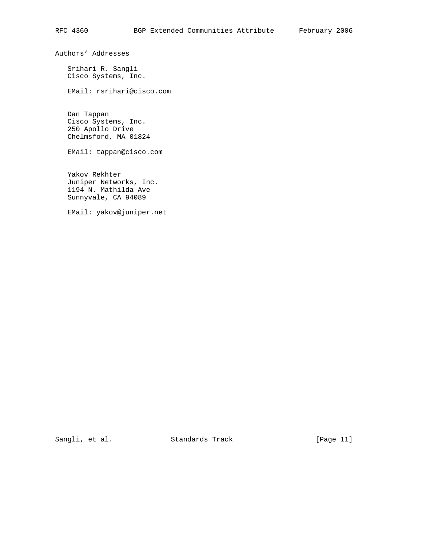Authors' Addresses

 Srihari R. Sangli Cisco Systems, Inc.

EMail: rsrihari@cisco.com

 Dan Tappan Cisco Systems, Inc. 250 Apollo Drive Chelmsford, MA 01824

EMail: tappan@cisco.com

 Yakov Rekhter Juniper Networks, Inc. 1194 N. Mathilda Ave Sunnyvale, CA 94089

EMail: yakov@juniper.net

Sangli, et al. Standards Track [Page 11]